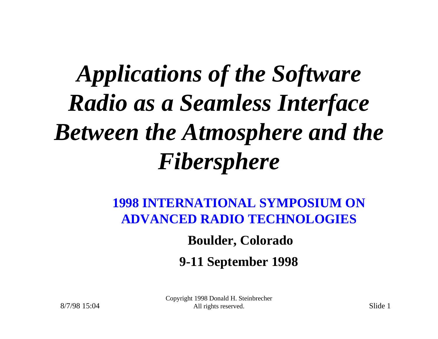# *Applications of the Software Radio as a Seamless Interface Between the Atmosphere and the Fibersphere*

#### **1998 INTERNATIONAL SYMPOSIUM ON ADVANCED RADIO TECHNOLOGIES**

 **Boulder, Colorado 9-11 September 1998**

8/7/98 15:04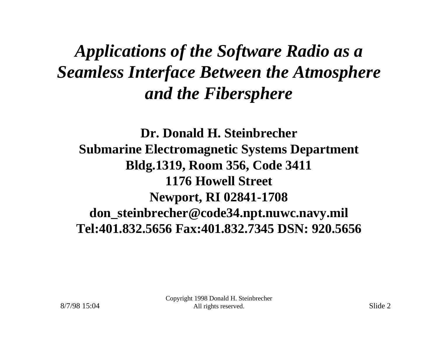#### *Applications of the Software Radio as a Seamless Interface Between the Atmosphere and the Fibersphere*

**Dr. Donald H. Steinbrecher Submarine Electromagnetic Systems Department Bldg.1319, Room 356, Code 3411 1176 Howell Street Newport, RI 02841-1708 don\_steinbrecher@code34.npt.nuwc.navy.mil Tel:401.832.5656 Fax:401.832.7345 DSN: 920.5656**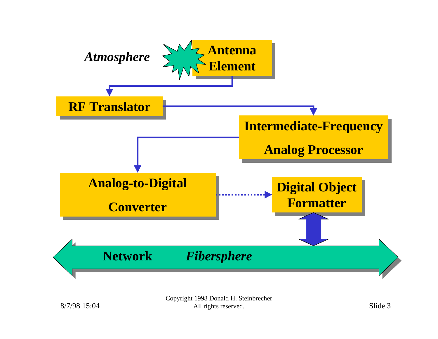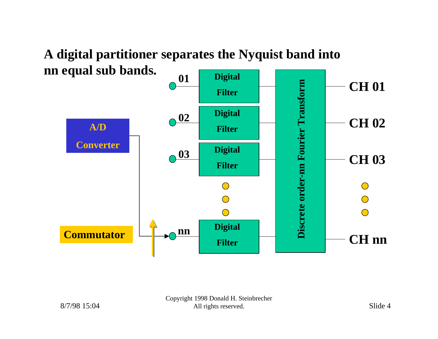#### **A digital partitioner separates the Nyquist band into nn equal sub bands.**

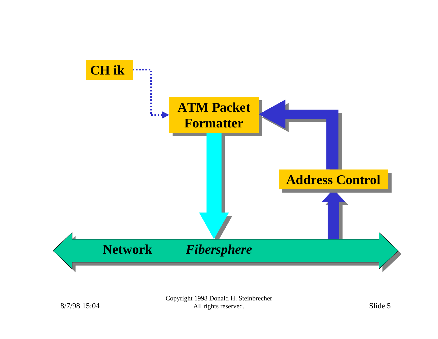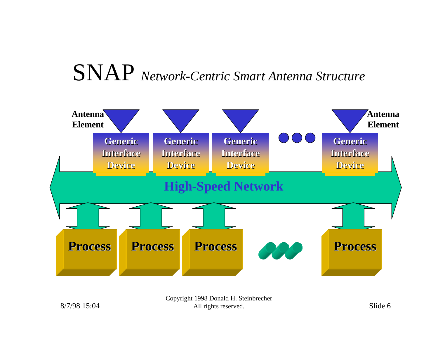### SNAP *Network-Centric Smart Antenna Structure*

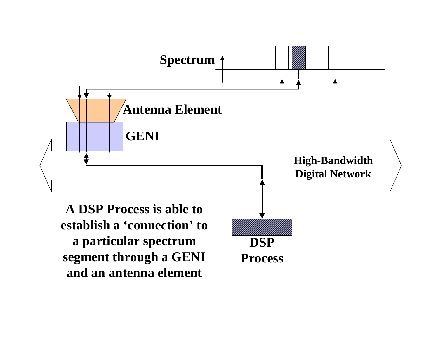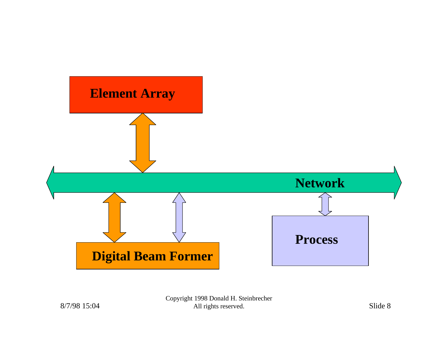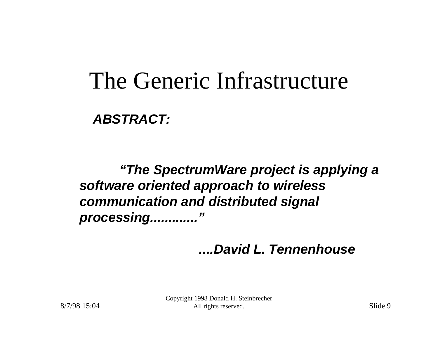# The Generic Infrastructure *ABSTRACT:*

*"The SpectrumWare project is applying a software oriented approach to wireless communication and distributed signal processing............."*

*David L. Tennenhouse*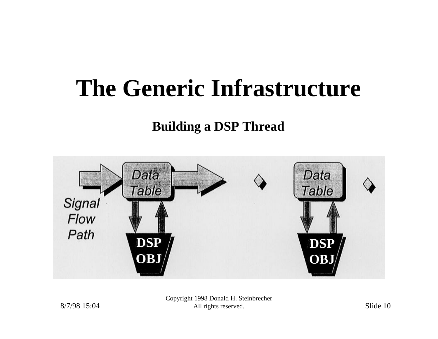#### **Building a DSP Thread**

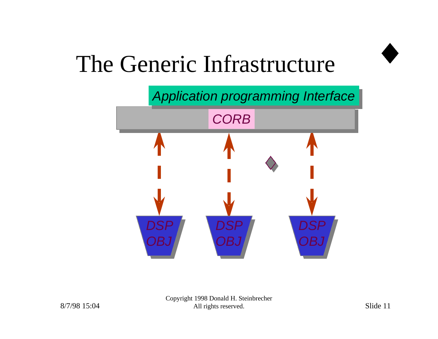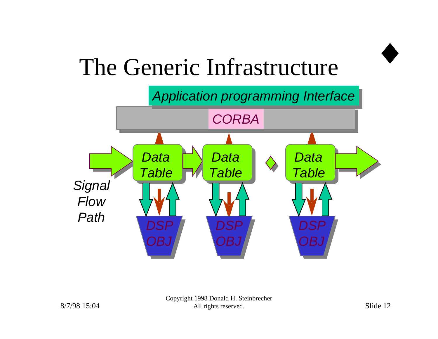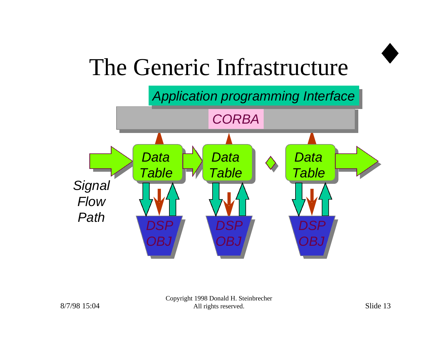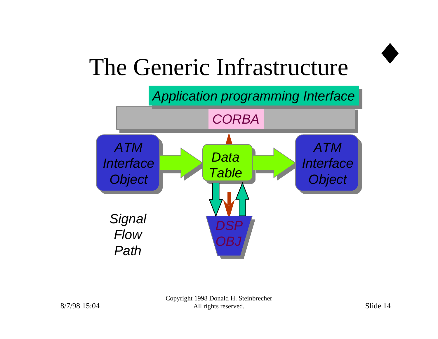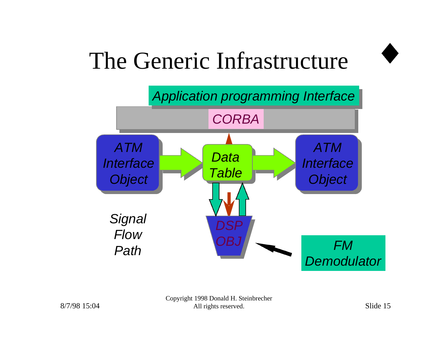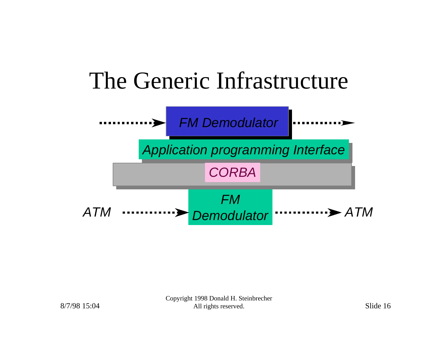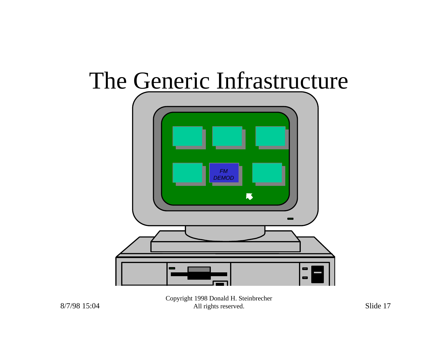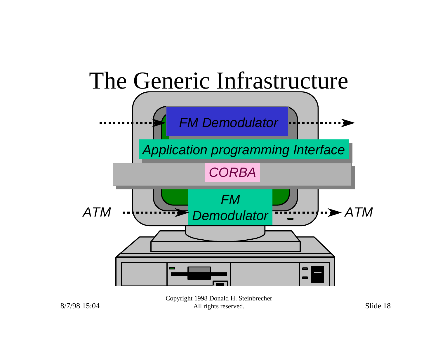

All rights reserved. Slide 18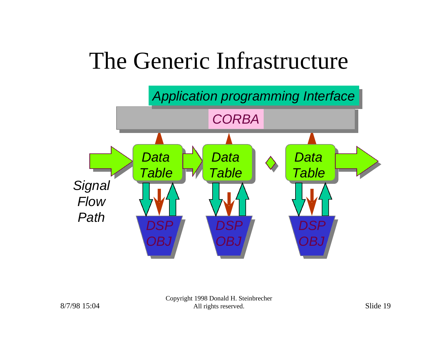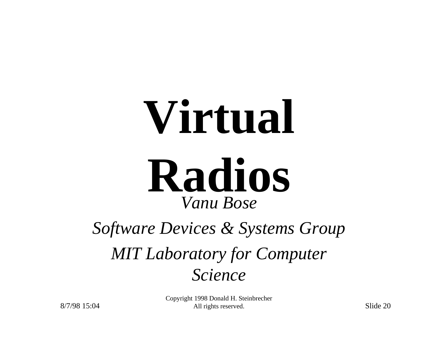# **Virtual Radios** *Vanu Bose*

#### *Software Devices & Systems Group MIT Laboratory for Computer Science*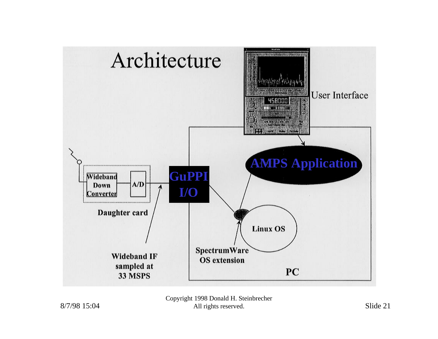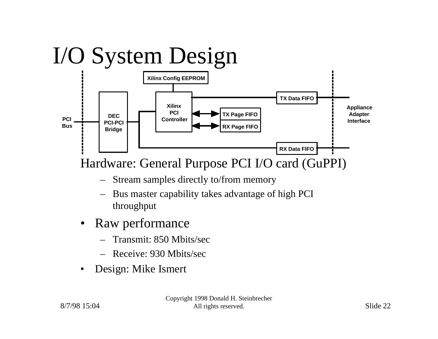

Hardware: General Purpose PCI I/O card (GuPPI)

- Stream samples directly to/from memory
- Bus master capability takes advantage of high PCI throughput
- Raw performance
	- Transmit: 850 Mbits/sec
	- Receive: 930 Mbits/sec
- Design: Mike Ismert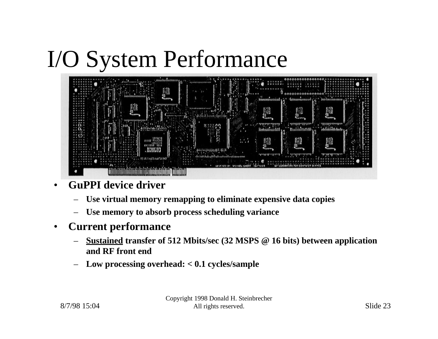# I/O System Performance



- **GuPPI device driver**
	- **Use virtual memory remapping to eliminate expensive data copies**
	- **Use memory to absorb process scheduling variance**
- **Current performance**
	- **Sustained transfer of 512 Mbits/sec (32 MSPS @ 16 bits) between application and RF front end**
	- **Low processing overhead: < 0.1 cycles/sample**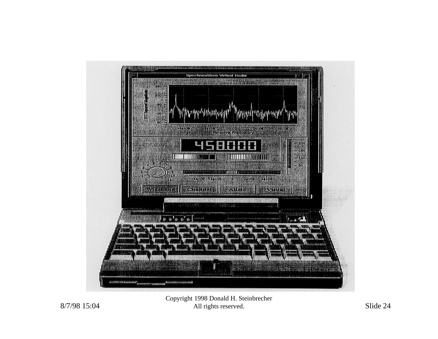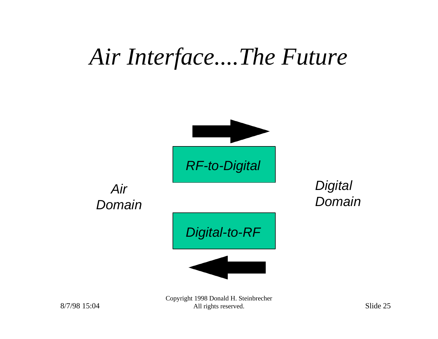### *Air Interface....The Future*

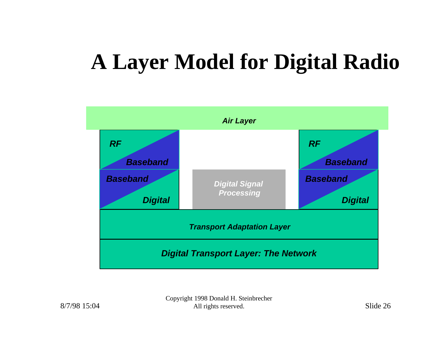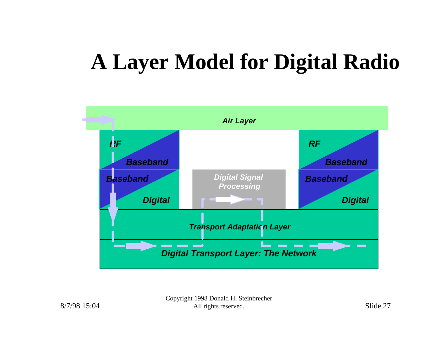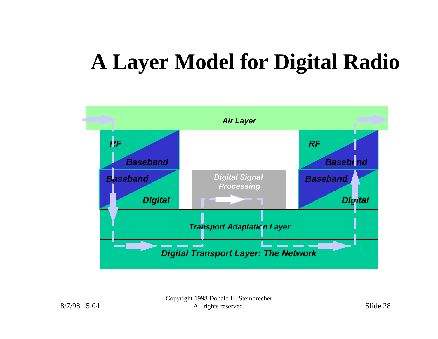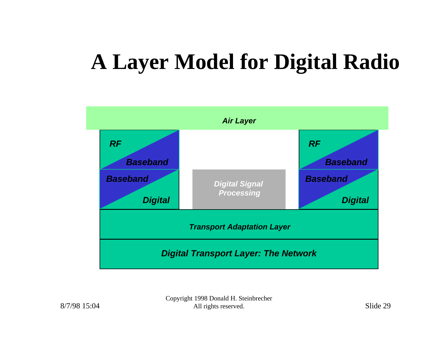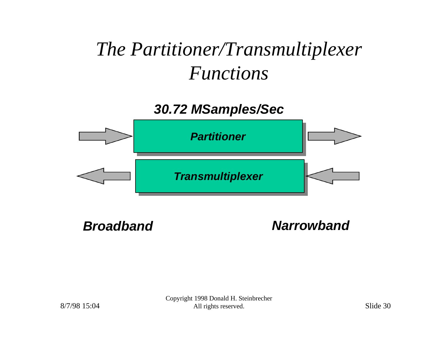#### *The Partitioner/Transmultiplexer Functions*

#### *30.72 MSamples/Sec*



*Broadband Narrowband*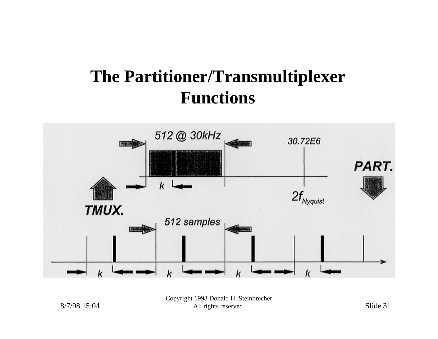#### **The Partitioner/Transmultiplexer Functions**

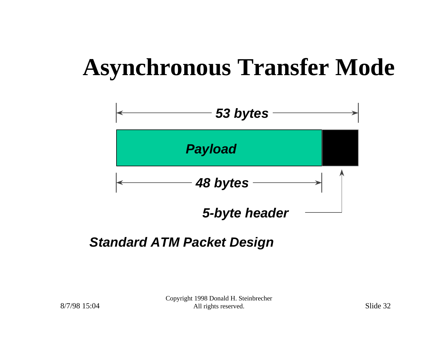# **Asynchronous Transfer Mode**



#### *Standard ATM Packet Design*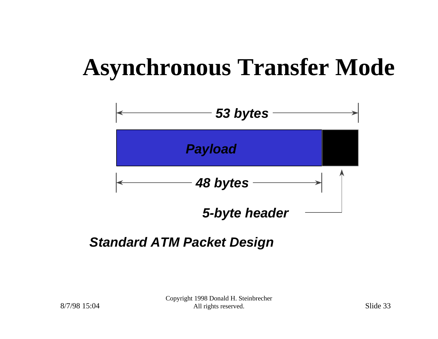# **Asynchronous Transfer Mode**



#### *Standard ATM Packet Design*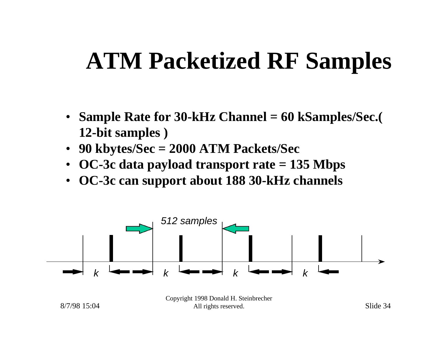# **ATM Packetized RF Samples**

- **Sample Rate for 30-kHz Channel = 60 kSamples/Sec.( 12-bit samples )**
- **90 kbytes/Sec = 2000 ATM Packets/Sec**
- **OC-3c data payload transport rate = 135 Mbps**
- **OC-3c can support about 188 30-kHz channels**



8/7/98 15:04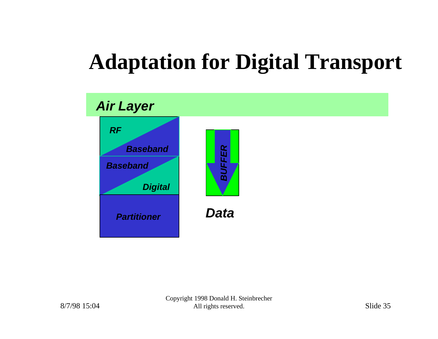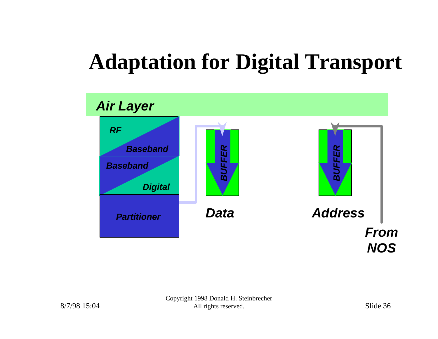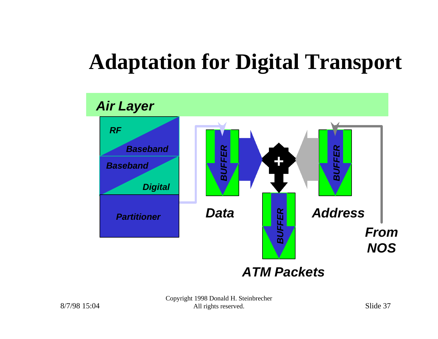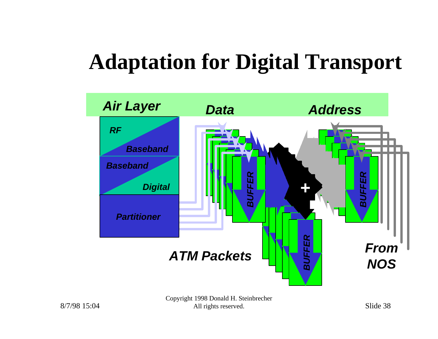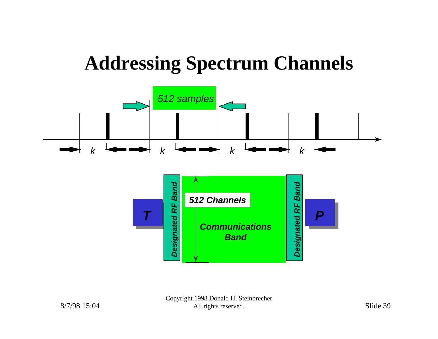#### **Addressing Spectrum Channels**

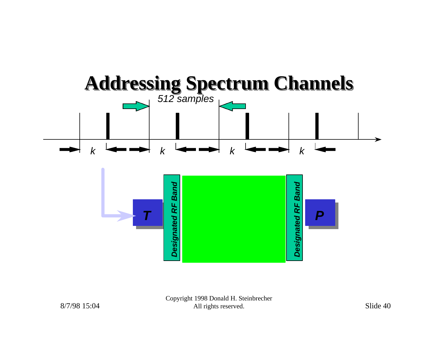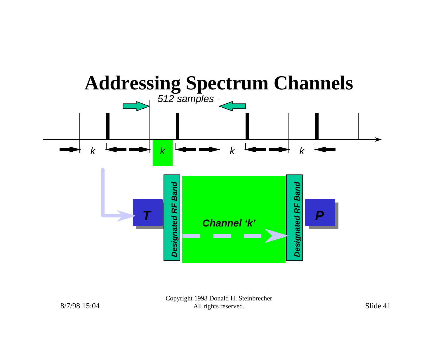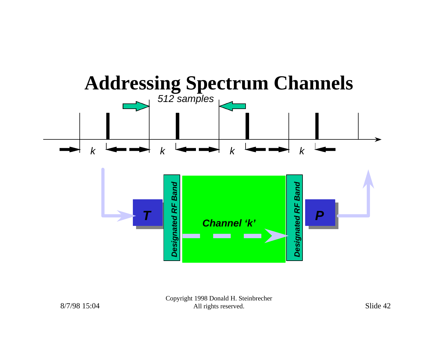